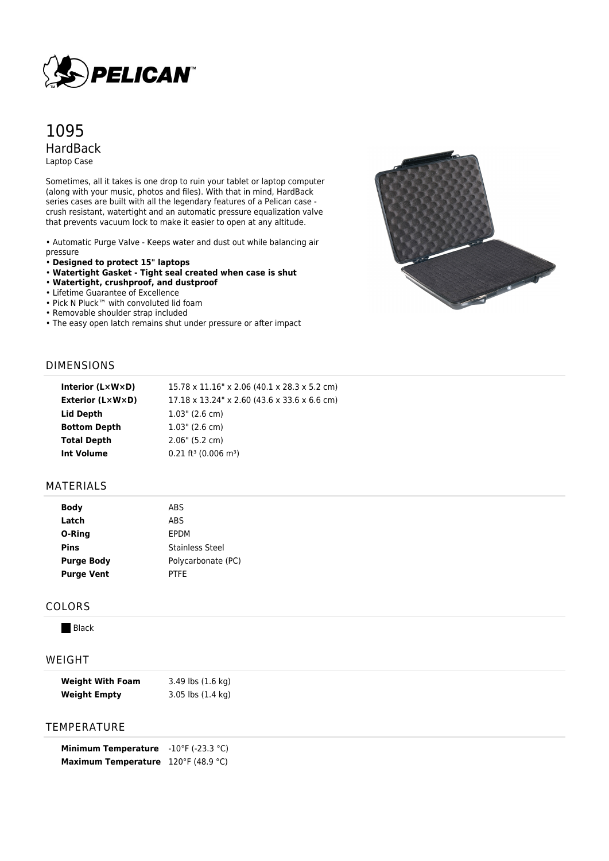

# 1095 HardBack Laptop Case

Sometimes, all it takes is one drop to ruin your tablet or laptop computer (along with your music, photos and files). With that in mind, HardBack series cases are built with all the legendary features of a Pelican case crush resistant, watertight and an automatic pressure equalization valve that prevents vacuum lock to make it easier to open at any altitude.

• Automatic Purge Valve - Keeps water and dust out while balancing air pressure

- **Designed to protect 15" laptops**
- **Watertight Gasket Tight seal created when case is shut**
- **Watertight, crushproof, and dustproof**
- Lifetime Guarantee of Excellence
- Pick N Pluck™ with convoluted lid foam
- Removable shoulder strap included
- The easy open latch remains shut under pressure or after impact



## DIMENSIONS

| 15.78 x 11.16" x 2.06 (40.1 x 28.3 x 5.2 cm) |
|----------------------------------------------|
| 17.18 x 13.24" x 2.60 (43.6 x 33.6 x 6.6 cm) |
| $1.03$ " (2.6 cm)                            |
| $1.03$ " (2.6 cm)                            |
| 2.06" (5.2 cm)                               |
| $0.21 \text{ ft}^3$ (0.006 m <sup>3</sup> )  |
|                                              |

#### MATERIALS

| ABS                    |  |
|------------------------|--|
| ABS                    |  |
| EPDM                   |  |
| <b>Stainless Steel</b> |  |
| Polycarbonate (PC)     |  |
| <b>PTFE</b>            |  |
|                        |  |

#### COLORS

**Black** 

## WEIGHT

| <b>Weight With Foam</b> | 3.49 lbs (1.6 kg)             |
|-------------------------|-------------------------------|
| <b>Weight Empty</b>     | $3.05$ lbs $(1.4 \text{ kg})$ |

### TEMPERATURE

| <b>Minimum Temperature</b> | $-10^{\circ}$ F (-23.3 °C) |
|----------------------------|----------------------------|
| <b>Maximum Temperature</b> | 120°F (48.9 °C)            |